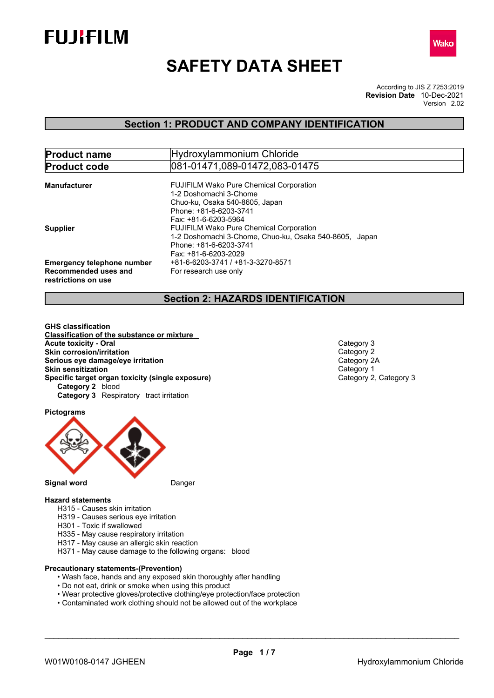



# **SAFETY DATA SHEET**

According to JIS Z 7253:2019 Version 2.02 **Revision Date** 10-Dec-2021

# **Section 1: PRODUCT AND COMPANY IDENTIFICATION**

| <b>Product name</b>               | Hydroxylammonium Chloride                              |
|-----------------------------------|--------------------------------------------------------|
| <b>Product code</b>               | 081-01471,089-01472,083-01475                          |
|                                   |                                                        |
| Manufacturer                      | <b>FUJIFILM Wako Pure Chemical Corporation</b>         |
|                                   | 1-2 Doshomachi 3-Chome                                 |
|                                   | Chuo-ku, Osaka 540-8605, Japan                         |
|                                   | Phone: +81-6-6203-3741                                 |
|                                   | Fax: +81-6-6203-5964                                   |
| <b>Supplier</b>                   | <b>FUJIFILM Wako Pure Chemical Corporation</b>         |
|                                   | 1-2 Doshomachi 3-Chome, Chuo-ku, Osaka 540-8605, Japan |
|                                   | Phone: +81-6-6203-3741                                 |
|                                   | Fax: +81-6-6203-2029                                   |
| <b>Emergency telephone number</b> | +81-6-6203-3741 / +81-3-3270-8571                      |
| Recommended uses and              |                                                        |
|                                   | For research use only                                  |
| restrictions on use               |                                                        |

# **Section 2: HAZARDS IDENTIFICATION**

**GHS classification Classification of the substance or mixture Acute toxicity - Oral Category 3**<br> **Skin corrosion/irritation Skin corrosion/irritation**<br> **Serious eve damage/eve irritation**<br>
Category 2A **Serious** eye damage/eye irritation **Skin sensitization**<br> **Specific target organ toxicity (single exposure)**<br>
Category 2, Category 3 **Specific target organ toxicity (single exposure) Category 2** blood **Category 3** Respiratory tract irritation

**Pictograms**



**Signal word** Danger

### **Hazard statements**

- H315 Causes skin irritation
- H319 Causes serious eye irritation
- H301 Toxic if swallowed
- H335 May cause respiratory irritation
- H317 May cause an allergic skin reaction
- H371 May cause damage to the following organs: blood

### **Precautionary statements-(Prevention)**

- Wash face, hands and any exposed skin thoroughly after handling
- Do not eat, drink or smoke when using this product
- Wear protective gloves/protective clothing/eye protection/face protection
- Contaminated work clothing should not be allowed out of the workplace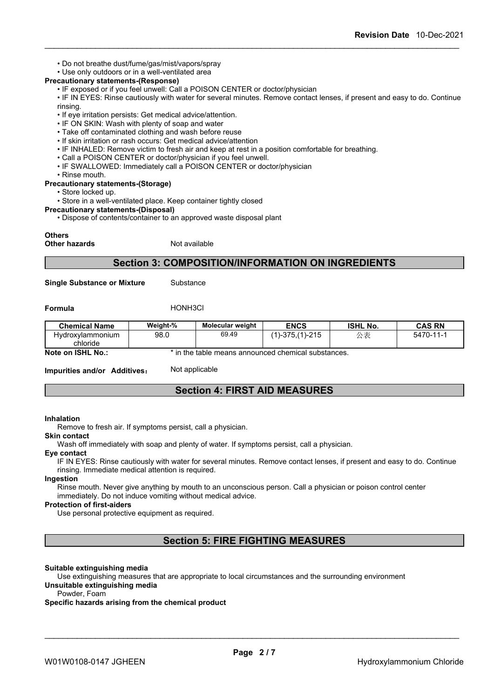- Do not breathe dust/fume/gas/mist/vapors/spray
- Use only outdoors or in a well-ventilated area

### **Precautionary statements-(Response)**

• IF exposed or if you feel unwell: Call a POISON CENTER or doctor/physician

• IF IN EYES: Rinse cautiously with water for several minutes. Remove contact lenses, if present and easy to do. Continue rinsing.

- If eye irritation persists: Get medical advice/attention.
- IF ON SKIN: Wash with plenty of soap and water
- Take off contaminated clothing and wash before reuse
- If skin irritation or rash occurs: Get medical advice/attention
- IF INHALED: Remove victim to fresh air and keep at rest in a position comfortable for breathing.
- 
- Call <sup>a</sup> POISON CENTER or doctor/physician if you feel unwell.• IF SWALLOWED: Immediately call <sup>a</sup> POISON CENTER or doctor/physician
- Rinse mouth.

### **Precautionary statements-(Storage)**

• Store locked up.

• Store in a well-ventilated place. Keep container tightly closed

#### **Precautionary statements-(Disposal)**

• Dispose of contents/container to an approved waste disposal plant

#### **Others**

**Other hazards** Not available

### **Section 3: COMPOSITION/INFORMATION ON INGREDIENTS**

**Single Substance or Mixture** Substance

**Formula** HONH3Cl

| <b>Chemical Name</b>                | Weight-% | <b>Molecular weight</b> | <b>ENCS</b>                                                     | <b>ISHL No.</b>   | <b>CAS RN</b>         |
|-------------------------------------|----------|-------------------------|-----------------------------------------------------------------|-------------------|-----------------------|
| <b>Hydroxylammonium</b><br>chloride | 98.0     | 69.49                   | 21E<br>-375ء<br>$\lambda$<br>74.<br>$-$<br>ں ہے۔<br>$\sim\cdot$ | $\cdot$ $-$<br>へへ | 5470-<br>$\mathbf{I}$ |

**Note on ISHL No.:** \* in the table means announced chemical substances.

**Impurities and/or Additives:** Not applicable

### **Section 4: FIRST AID MEASURES**

#### **Inhalation**

Remove to fresh air. If symptoms persist, call a physician.

#### **Skin contact**

Wash off immediately with soap and plenty of water. If symptoms persist, call a physician.

### **Eye contact**

IF IN EYES: Rinse cautiously with water for several minutes. Remove contact lenses, if present and easy to do. Continue rinsing. Immediate medical attention is required.

#### **Ingestion**

Rinse mouth. Never give anything by mouth to an unconscious person. Call a physician or poison control center immediately. Do not induce vomiting without medical advice.

### **Protection of first-aiders**

Use personal protective equipment as required.

# **Section 5: FIRE FIGHTING MEASURES**

### **Suitable extinguishing media**

Use extinguishing measures that are appropriate to local circumstances and the surrounding environment **Unsuitable extinguishing media**

# Powder, Foam

### **Specific hazards arising from the chemical product**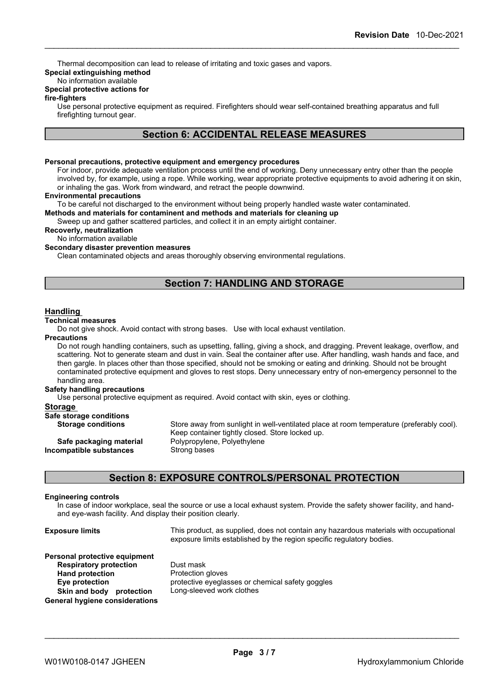Thermal decomposition can lead to release of irritating and toxic gases and vapors.

### **Special extinguishing method**

### No information available

### **Special protective actions for**

#### **fire-fighters**

Use personal protective equipment as required.Firefighters should wear self-contained breathing apparatus and full firefighting turnout gear.

### **Section 6: ACCIDENTAL RELEASE MEASURES**

### **Personal precautions, protective equipment and emergency procedures**

For indoor, provide adequate ventilation process until the end of working. Deny unnecessary entry other than the people involved by, for example, using a rope. While working, wear appropriate protective equipments to avoid adhering it on skin, or inhaling the gas. Work from windward, and retract the people downwind.

### **Environmental precautions**

To be careful not discharged to the environment without being properly handled waste water contaminated.

**Methods and materials for contaminent and methods and materials for cleaning up**

Sweep up and gather scattered particles, and collect it in an empty airtight container.

**Recoverly, neutralization**

### No information available

### **Secondary disaster prevention measures**

Clean contaminated objects and areas thoroughly observing environmental regulations.

### **Section 7: HANDLING AND STORAGE**

### **Handling**

#### **Technical measures**

Do not give shock. Avoid contact with strong bases. Use with local exhaust ventilation.

#### **Precautions**

Do not rough handling containers, such as upsetting, falling, giving a shock, and dragging. Prevent leakage, overflow, and scattering. Not to generate steam and dust in vain. Seal the container after use. After handling, wash hands and face, and then gargle. In places other than those specified, should not be smoking or eating and drinking. Should not be brought contaminated protective equipment and gloves to rest stops. Deny unnecessary entry of non-emergency personnel to the handling area.

#### **Safety handling precautions**

Use personal protective equipment as required.Avoid contact with skin, eyes or clothing.

### **Storage**

| Safe storage conditions   |                                                                                          |
|---------------------------|------------------------------------------------------------------------------------------|
| <b>Storage conditions</b> | Store away from sunlight in well-ventilated place at room temperature (preferably cool). |
|                           | Keep container tightly closed. Store locked up.                                          |
| Safe packaging material   | Polypropylene, Polyethylene                                                              |
| Incompatible substances   | Strong bases                                                                             |
|                           |                                                                                          |
|                           |                                                                                          |

### **Section 8: EXPOSURE CONTROLS/PERSONAL PROTECTION**

### **Engineering controls**

In case of indoor workplace, seal the source or use a local exhaust system. Provide the safety shower facility, and handand eye-wash facility. And display their position clearly.

| <b>Exposure limits</b>                                                                                                                                                          | This product, as supplied, does not contain any hazardous materials with occupational<br>exposure limits established by the region specific regulatory bodies. |
|---------------------------------------------------------------------------------------------------------------------------------------------------------------------------------|----------------------------------------------------------------------------------------------------------------------------------------------------------------|
| Personal protective equipment<br><b>Respiratory protection</b><br><b>Hand protection</b><br>Eye protection<br>Skin and body protection<br><b>General hygiene considerations</b> | Dust mask<br>Protection gloves<br>protective eyeglasses or chemical safety goggles<br>Long-sleeved work clothes                                                |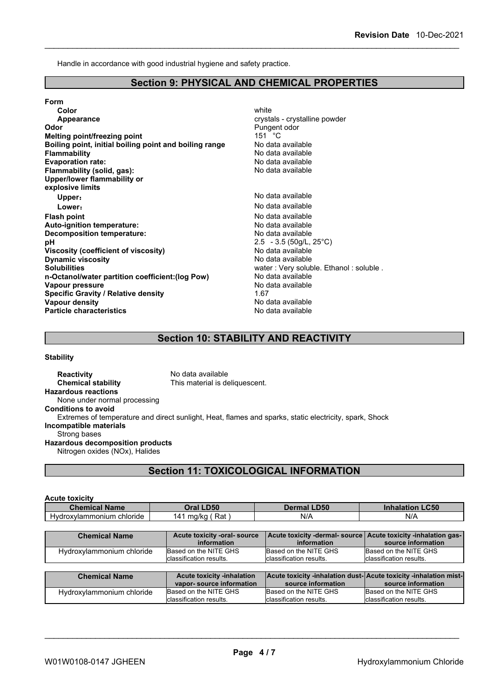Handle in accordance with good industrial hygiene and safety practice.

### **Section 9: PHYSICAL AND CHEMICAL PROPERTIES**

**Form Color** white **Color** white **Color** white **Color** white **Color** white **Color Color Color Color Color Color Color Color Color Color Color Color Color Color Color Color Color Color Color Appearance crystals** - crystalline powder **Odor** Pungent odor<br> **Melting point/freezing point** example that the set of the Pungent odor Melting point/ **Melting point/freezing point**<br> **Boiling point, initial boiling point and boiling range** Modata available **Boiling** point, initial boiling point and boiling range **Flammability**<br> **Figure 12 Constant Constant Constant Constant Constant Constant Constant Constant Constant Constant Constant Constant Constant Constant Constant Constant Constant Constant Constant Constant Constant Consta Evaporation rate:**<br> **Elammability (solid, gas):** Contract the Contract of Modata available **Flammability** (solid, gas): **Upper/lower flammability or explosive limits Upper**: No data available **Lower:** No data available **Flash point point** *point point point point point point point point point point point point point point point point point point point point* **Auto-ignition temperature:**<br> **Decomposition temperature:** No data available **Decomposition temperature:**<br>pH **Viscosity (coefficient of viscosity)** No data available<br> **Dynamic viscosity** No data available **Dynamic viscosity**<br>Solubilities **n-Octanol/water partition coefficient:(log Pow) No data available<br>
<b>Vapour pressure** No data available **Vapour pressure** No d<br> **Specific Gravity / Relative density 1.67 Specific Gravity / Relative density Vapour density Vapour density No data available Particle characteristics** No data available

**pH** 2.5 - 3.5 (50g/L, 25°C) water : Very soluble. Ethanol : soluble .

### **Section 10: STABILITY AND REACTIVITY**

#### **Stability**

**Reactivity** No data available **Chemical stability** This material is deliquescent. **Hazardous reactions** None under normal processing **Conditions to avoid** Extremes of temperature and direct sunlight, Heat, flames and sparks, static electricity, spark, Shock **Incompatible materials** Strong bases **Hazardous decomposition products** Nitrogen oxides (NOx), Halides

# **Section 11: TOXICOLOGICAL INFORMATION**

#### **Acute toxicity**

| <b>Chemical</b>              | <b>D50</b>                   | <b>LD50</b> | <b>.C50</b> |
|------------------------------|------------------------------|-------------|-------------|
| <b>Name</b>                  | <b>Drai</b>                  | 112 I       | innalation  |
| Hydroxylammonium<br>chloride | Rat<br>$\mathbf{A}$<br>ma/ka | N/A         | N/f         |

| <b>Chemical Name</b>      | Acute toxicity -oral- source      | Acute toxicity -dermal- source   Acute toxicity -inhalation gas- |                                  |
|---------------------------|-----------------------------------|------------------------------------------------------------------|----------------------------------|
|                           | information                       | information                                                      | source information               |
| Hydroxylammonium chloride | Based on the NITE GHS             | Based on the NITE GHS                                            | Based on the NITE GHS            |
|                           | classification results.           | classification results.                                          | <b>I</b> classification results. |
|                           |                                   |                                                                  |                                  |
|                           |                                   |                                                                  |                                  |
| <b>Chemical Name</b>      | <b>Acute toxicity -inhalation</b> | Acute toxicity -inhalation dust-Acute toxicity -inhalation mist- |                                  |
|                           | vapor-source information          | source information                                               | source information               |
| Hydroxylammonium chloride | Based on the NITE GHS             | Based on the NITE GHS                                            | Based on the NITE GHS            |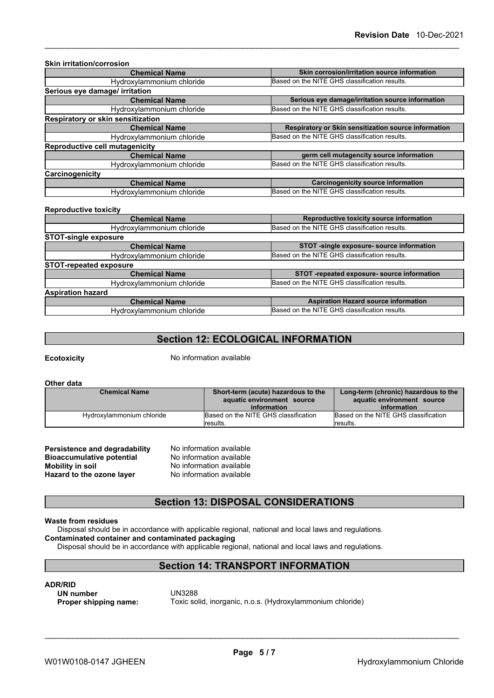| <b>Chemical Name</b>              | Skin corrosion/irritation source information         |
|-----------------------------------|------------------------------------------------------|
| Hydroxylammonium chloride         | Based on the NITE GHS classification results.        |
| Serious eye damage/ irritation    |                                                      |
| <b>Chemical Name</b>              | Serious eye damage/irritation source information     |
| Hydroxylammonium chloride         | Based on the NITE GHS classification results.        |
| Respiratory or skin sensitization |                                                      |
| <b>Chemical Name</b>              | Respiratory or Skin sensitization source information |
| Hydroxylammonium chloride         | Based on the NITE GHS classification results.        |
| Reproductive cell mutagenicity    |                                                      |
| <b>Chemical Name</b>              | germ cell mutagencity source information             |
| Hydroxylammonium chloride         | Based on the NITE GHS classification results.        |
| Carcinogenicity                   |                                                      |
| <b>Chemical Name</b>              | <b>Carcinogenicity source information</b>            |
| Hydroxylammonium chloride         | Based on the NITE GHS classification results.        |

| <b>Chemical Name</b>          | Reproductive toxicity source information      |
|-------------------------------|-----------------------------------------------|
| Hydroxylammonium chloride     | Based on the NITE GHS classification results. |
| <b>STOT-single exposure</b>   |                                               |
| <b>Chemical Name</b>          | STOT -single exposure- source information     |
| Hydroxylammonium chloride     | Based on the NITE GHS classification results. |
| <b>STOT-repeated exposure</b> |                                               |
| <b>Chemical Name</b>          | STOT -repeated exposure- source information   |
| Hydroxylammonium chloride     | Based on the NITE GHS classification results. |
| <b>Aspiration hazard</b>      |                                               |
| <b>Chemical Name</b>          | <b>Aspiration Hazard source information</b>   |
| Hydroxylammonium chloride     | Based on the NITE GHS classification results. |
|                               |                                               |

# **Section 12: ECOLOGICAL INFORMATION**

**Ecotoxicity** No information available

**Other data**

| <b>Chemical Name</b>      | Short-term (acute) hazardous to the<br>aquatic environment source<br>information | Long-term (chronic) hazardous to the<br>aquatic environment source<br>information |
|---------------------------|----------------------------------------------------------------------------------|-----------------------------------------------------------------------------------|
| Hydroxylammonium chloride | Based on the NITE GHS classification<br>lresults.                                | Based on the NITE GHS classification<br>lresults.                                 |

| Persistence and degradability    | No information available |
|----------------------------------|--------------------------|
| <b>Bioaccumulative potential</b> | No information available |
| Mobility in soil                 | No information available |
| Hazard to the ozone layer        | No information available |

### **Section 13: DISPOSAL CONSIDERATIONS**

### **Waste from residues**

Disposal should be in accordance with applicable regional, national and local laws and regulations.

### **Contaminated container and contaminated packaging**

Disposal should be in accordance with applicable regional, national and local laws and regulations.

### **Section 14: TRANSPORT INFORMATION**

**ADR/RID**<br>
UN number<br>
UN3288 **UN** number<br>Proper shipping name:

Toxic solid, inorganic, n.o.s. (Hydroxylammonium chloride)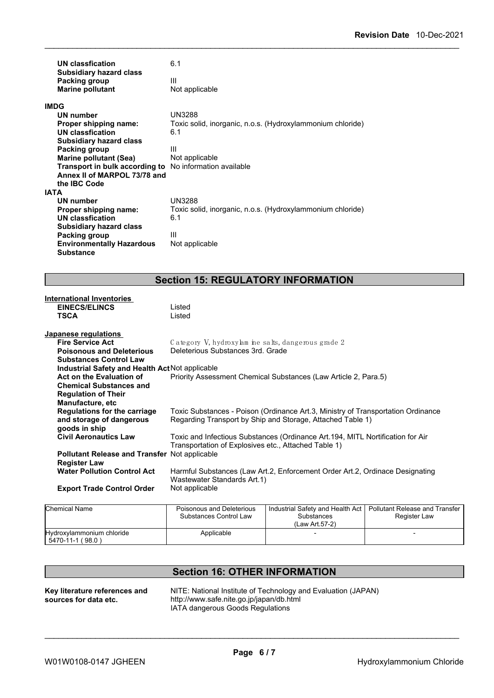|             | <b>UN classfication</b><br><b>Subsidiary hazard class</b> | 6.1                                                        |
|-------------|-----------------------------------------------------------|------------------------------------------------------------|
|             | Packing group<br><b>Marine pollutant</b>                  | Ш<br>Not applicable                                        |
| <b>IMDG</b> |                                                           |                                                            |
|             | UN number                                                 | <b>UN3288</b>                                              |
|             | Proper shipping name:                                     | Toxic solid, inorganic, n.o.s. (Hydroxylammonium chloride) |
|             | <b>UN classfication</b>                                   | 6.1                                                        |
|             | <b>Subsidiary hazard class</b>                            |                                                            |
|             | Packing group                                             | Ш                                                          |
|             | <b>Marine pollutant (Sea)</b>                             | Not applicable                                             |
|             | Transport in bulk according to                            | No information available                                   |
|             | Annex II of MARPOL 73/78 and                              |                                                            |
|             | the IBC Code                                              |                                                            |
| <b>IATA</b> |                                                           |                                                            |
|             | UN number                                                 | <b>UN3288</b>                                              |
|             | Proper shipping name:                                     | Toxic solid, inorganic, n.o.s. (Hydroxylammonium chloride) |
|             | <b>UN classfication</b>                                   | 6.1                                                        |
|             | <b>Subsidiary hazard class</b>                            |                                                            |
|             | Packing group                                             | Ш                                                          |
|             | <b>Environmentally Hazardous</b>                          | Not applicable                                             |
|             | Substance                                                 |                                                            |

# **Section 15: REGULATORY INFORMATION**

| <b>International Inventories</b>                     |                                                                                  |
|------------------------------------------------------|----------------------------------------------------------------------------------|
| <b>EINECS/ELINCS</b>                                 | Listed                                                                           |
| <b>TSCA</b>                                          | Listed                                                                           |
|                                                      |                                                                                  |
| Japanese regulations                                 |                                                                                  |
| <b>Fire Service Act</b>                              | Category V, hydroxylam ine salts, dangerous grade 2                              |
| <b>Poisonous and Deleterious</b>                     | Deleterious Substances 3rd. Grade                                                |
| <b>Substances Control Law</b>                        |                                                                                  |
| Industrial Safety and Health Act Not applicable      |                                                                                  |
| Act on the Evaluation of                             | Priority Assessment Chemical Substances (Law Article 2, Para.5)                  |
| <b>Chemical Substances and</b>                       |                                                                                  |
| <b>Regulation of Their</b>                           |                                                                                  |
| Manufacture, etc                                     |                                                                                  |
| Regulations for the carriage                         | Toxic Substances - Poison (Ordinance Art.3, Ministry of Transportation Ordinance |
| and storage of dangerous                             | Regarding Transport by Ship and Storage, Attached Table 1)                       |
| goods in ship                                        |                                                                                  |
| <b>Civil Aeronautics Law</b>                         | Toxic and Infectious Substances (Ordinance Art.194, MITL Nortification for Air   |
|                                                      | Transportation of Explosives etc., Attached Table 1)                             |
| <b>Pollutant Release and Transfer Not applicable</b> |                                                                                  |
| <b>Register Law</b>                                  |                                                                                  |
| <b>Water Pollution Control Act</b>                   | Harmful Substances (Law Art.2, Enforcement Order Art.2, Ordinace Designating     |
|                                                      | Wastewater Standards Art.1)                                                      |
| <b>Export Trade Control Order</b>                    | Not applicable                                                                   |
|                                                      |                                                                                  |
|                                                      |                                                                                  |

| Chemical Name                                 | Poisonous and Deleterious<br>Substances Control Law | l Industrial Safety and Health Act I<br>Substances<br>(Law Art.57-2) | <b>Pollutant Release and Transfer</b><br>Register Law |  |
|-----------------------------------------------|-----------------------------------------------------|----------------------------------------------------------------------|-------------------------------------------------------|--|
| Hydroxylammonium chloride<br>5470-11-1 (98.0) | Applicable                                          |                                                                      |                                                       |  |

# **Section 16: OTHER INFORMATION**

**Key literature references and sources for data etc.**

NITE: National Institute of Technology and Evaluation (JAPAN) http://www.safe.nite.go.jp/japan/db.html IATA dangerous Goods Regulations